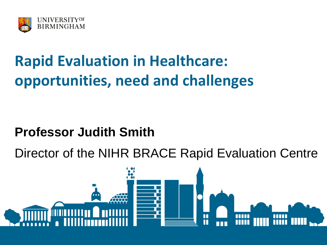

# **Rapid Evaluation in Healthcare: opportunities, need and challenges**

#### **Professor Judith Smith**

Director of the NIHR BRACE Rapid Evaluation Centre

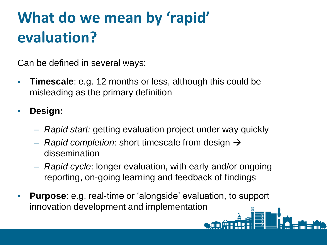# **What do we mean by 'rapid' evaluation?**

Can be defined in several ways:

 **Timescale**: e.g. 12 months or less, although this could be misleading as the primary definition

**Design:**

- *Rapid start:* getting evaluation project under way quickly
- $-$  *Rapid completion*: short timescale from design  $\rightarrow$ dissemination
- *Rapid cycle*: longer evaluation, with early and/or ongoing reporting, on-going learning and feedback of findings
- **Purpose**: e.g. real-time or 'alongside' evaluation, to support innovation development and implementation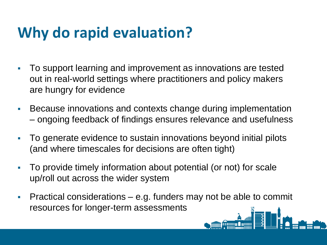### **Why do rapid evaluation?**

- To support learning and improvement as innovations are tested out in real-world settings where practitioners and policy makers are hungry for evidence
- Because innovations and contexts change during implementation – ongoing feedback of findings ensures relevance and usefulness
- To generate evidence to sustain innovations beyond initial pilots (and where timescales for decisions are often tight)
- To provide timely information about potential (or not) for scale up/roll out across the wider system
- Practical considerations e.g. funders may not be able to commit resources for longer-term assessments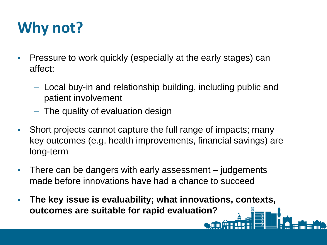## **Why not?**

- Pressure to work quickly (especially at the early stages) can affect:
	- Local buy-in and relationship building, including public and patient involvement
	- The quality of evaluation design
- Short projects cannot capture the full range of impacts; many key outcomes (e.g. health improvements, financial savings) are long-term
- There can be dangers with early assessment judgements made before innovations have had a chance to succeed
- **The key issue is evaluability; what innovations, contexts, outcomes are suitable for rapid evaluation?**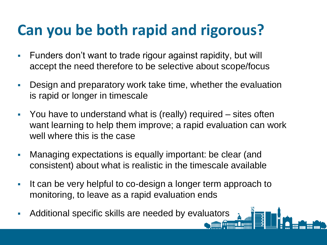### **Can you be both rapid and rigorous?**

- Funders don't want to trade rigour against rapidity, but will accept the need therefore to be selective about scope/focus
- Design and preparatory work take time, whether the evaluation is rapid or longer in timescale
- You have to understand what is (really) required sites often want learning to help them improve; a rapid evaluation can work well where this is the case
- Managing expectations is equally important: be clear (and consistent) about what is realistic in the timescale available
- If can be very helpful to co-design a longer term approach to monitoring, to leave as a rapid evaluation ends
- Additional specific skills are needed by evaluators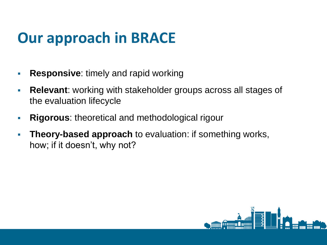### **Our approach in BRACE**

- **Responsive:** timely and rapid working
- **Relevant**: working with stakeholder groups across all stages of the evaluation lifecycle
- **Rigorous**: theoretical and methodological rigour
- **Theory-based approach** to evaluation: if something works, how; if it doesn't, why not?

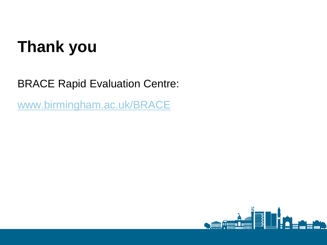# **Thank you**

#### BRACE Rapid Evaluation Centre:

[www.birmingham.ac.uk/BRACE](http://www.birmingham.ac.uk/BRACE)